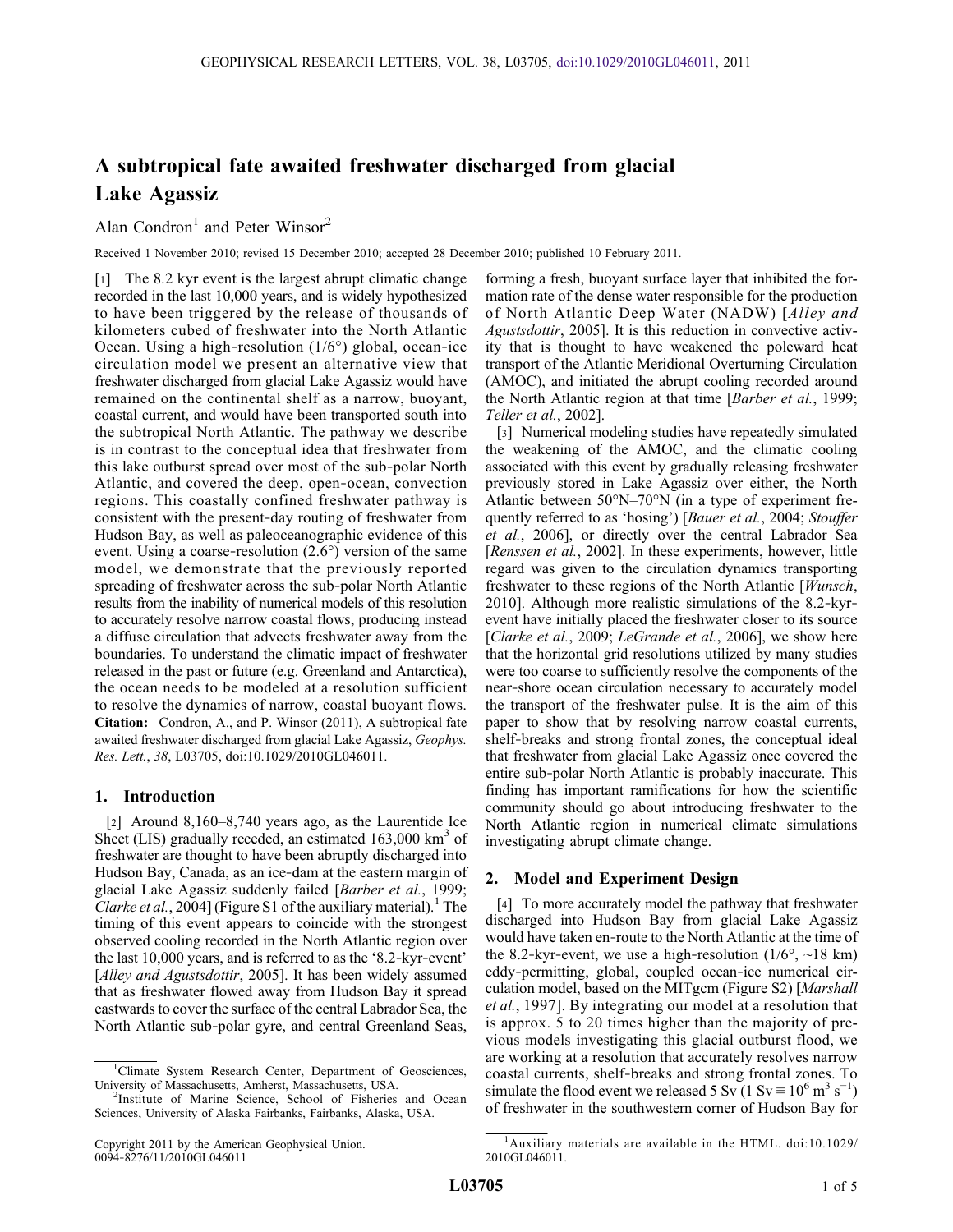# A subtropical fate awaited freshwater discharged from glacial Lake Agassiz

Alan Condron<sup>1</sup> and Peter Winsor<sup>2</sup>

Received 1 November 2010; revised 15 December 2010; accepted 28 December 2010; published 10 February 2011.

[1] The 8.2 kyr event is the largest abrupt climatic change recorded in the last 10,000 years, and is widely hypothesized to have been triggered by the release of thousands of kilometers cubed of freshwater into the North Atlantic Ocean. Using a high-resolution  $(1/6^{\circ})$  global, ocean-ice circulation model we present an alternative view that freshwater discharged from glacial Lake Agassiz would have remained on the continental shelf as a narrow, buoyant, coastal current, and would have been transported south into the subtropical North Atlantic. The pathway we describe is in contrast to the conceptual idea that freshwater from this lake outburst spread over most of the sub‐polar North Atlantic, and covered the deep, open‐ocean, convection regions. This coastally confined freshwater pathway is consistent with the present‐day routing of freshwater from Hudson Bay, as well as paleoceanographic evidence of this event. Using a coarse-resolution  $(2.6^{\circ})$  version of the same model, we demonstrate that the previously reported spreading of freshwater across the sub-polar North Atlantic results from the inability of numerical models of this resolution to accurately resolve narrow coastal flows, producing instead a diffuse circulation that advects freshwater away from the boundaries. To understand the climatic impact of freshwater released in the past or future (e.g. Greenland and Antarctica), the ocean needs to be modeled at a resolution sufficient to resolve the dynamics of narrow, coastal buoyant flows. Citation: Condron, A., and P. Winsor (2011), A subtropical fate awaited freshwater discharged from glacial Lake Agassiz, Geophys. Res. Lett., 38, L03705, doi:10.1029/2010GL046011.

### 1. Introduction

[2] Around 8,160–8,740 years ago, as the Laurentide Ice Sheet (LIS) gradually receded, an estimated  $163,000 \text{ km}^3$  of freshwater are thought to have been abruptly discharged into Hudson Bay, Canada, as an ice‐dam at the eastern margin of glacial Lake Agassiz suddenly failed [Barber et al., 1999; Clarke et al., 2004] (Figure S1 of the auxiliary material).<sup>1</sup> The timing of this event appears to coincide with the strongest observed cooling recorded in the North Atlantic region over the last 10,000 years, and is referred to as the '8.2‐kyr‐event' [Alley and Agustsdottir, 2005]. It has been widely assumed that as freshwater flowed away from Hudson Bay it spread eastwards to cover the surface of the central Labrador Sea, the North Atlantic sub‐polar gyre, and central Greenland Seas,

forming a fresh, buoyant surface layer that inhibited the formation rate of the dense water responsible for the production of North Atlantic Deep Water (NADW) [Alley and Agustsdottir, 2005]. It is this reduction in convective activity that is thought to have weakened the poleward heat transport of the Atlantic Meridional Overturning Circulation (AMOC), and initiated the abrupt cooling recorded around the North Atlantic region at that time [Barber et al., 1999; Teller et al., 2002].

[3] Numerical modeling studies have repeatedly simulated the weakening of the AMOC, and the climatic cooling associated with this event by gradually releasing freshwater previously stored in Lake Agassiz over either, the North Atlantic between 50°N–70°N (in a type of experiment frequently referred to as 'hosing') [Bauer et al., 2004; Stouffer et al., 2006], or directly over the central Labrador Sea [Renssen et al., 2002]. In these experiments, however, little regard was given to the circulation dynamics transporting freshwater to these regions of the North Atlantic [Wunsch, 2010]. Although more realistic simulations of the 8.2‐kyr‐ event have initially placed the freshwater closer to its source [Clarke et al., 2009; LeGrande et al., 2006], we show here that the horizontal grid resolutions utilized by many studies were too coarse to sufficiently resolve the components of the near‐shore ocean circulation necessary to accurately model the transport of the freshwater pulse. It is the aim of this paper to show that by resolving narrow coastal currents, shelf-breaks and strong frontal zones, the conceptual ideal that freshwater from glacial Lake Agassiz once covered the entire sub‐polar North Atlantic is probably inaccurate. This finding has important ramifications for how the scientific community should go about introducing freshwater to the North Atlantic region in numerical climate simulations investigating abrupt climate change.

#### 2. Model and Experiment Design

[4] To more accurately model the pathway that freshwater discharged into Hudson Bay from glacial Lake Agassiz would have taken en‐route to the North Atlantic at the time of the 8.2-kyr-event, we use a high-resolution  $(1/6^{\circ}, \sim 18 \text{ km})$ eddy‐permitting, global, coupled ocean‐ice numerical circulation model, based on the MITgcm (Figure S2) [Marshall et al., 1997]. By integrating our model at a resolution that is approx. 5 to 20 times higher than the majority of previous models investigating this glacial outburst flood, we are working at a resolution that accurately resolves narrow coastal currents, shelf‐breaks and strong frontal zones. To simulate the flood event we released 5 Sv (1 Sv  $\equiv 10^6$  m<sup>3</sup> s<sup>-1</sup>) of freshwater in the southwestern corner of Hudson Bay for

<sup>&</sup>lt;sup>1</sup>Climate System Research Center, Department of Geosciences. University of Massachusetts, Amherst, Massachusetts, USA. <sup>2</sup>

<sup>&</sup>lt;sup>2</sup>Institute of Marine Science, School of Fisheries and Ocean Sciences, University of Alaska Fairbanks, Fairbanks, Alaska, USA.

<sup>1</sup> Auxiliary materials are available in the HTML. doi:10.1029/ 2010GL046011.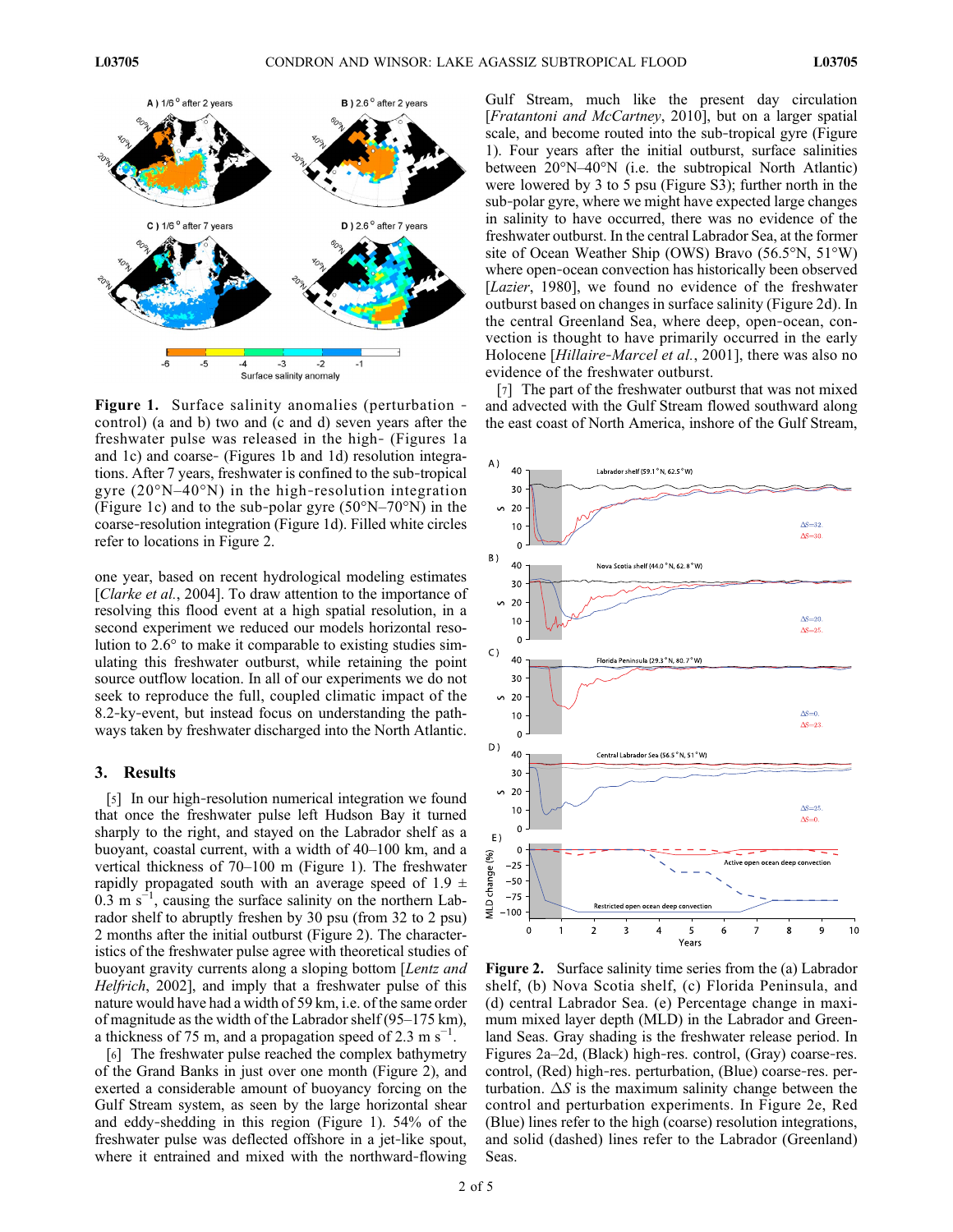

Figure 1. Surface salinity anomalies (perturbation ‐ control) (a and b) two and (c and d) seven years after the freshwater pulse was released in the high‐ (Figures 1a and 1c) and coarse‐ (Figures 1b and 1d) resolution integrations. After 7 years, freshwater is confined to the sub‐tropical gyre  $(20^{\circ}N-40^{\circ}N)$  in the high-resolution integration (Figure 1c) and to the sub-polar gyre  $(50^{\circ}N-70^{\circ}N)$  in the coarse‐resolution integration (Figure 1d). Filled white circles refer to locations in Figure 2.

one year, based on recent hydrological modeling estimates [Clarke et al., 2004]. To draw attention to the importance of resolving this flood event at a high spatial resolution, in a second experiment we reduced our models horizontal resolution to 2.6° to make it comparable to existing studies simulating this freshwater outburst, while retaining the point source outflow location. In all of our experiments we do not seek to reproduce the full, coupled climatic impact of the 8.2‐ky‐event, but instead focus on understanding the pathways taken by freshwater discharged into the North Atlantic.

#### 3. Results

[5] In our high-resolution numerical integration we found that once the freshwater pulse left Hudson Bay it turned sharply to the right, and stayed on the Labrador shelf as a buoyant, coastal current, with a width of 40–100 km, and a vertical thickness of 70–100 m (Figure 1). The freshwater rapidly propagated south with an average speed of 1.9  $\pm$  $0.\overline{3}$  m s<sup>-1</sup>, causing the surface salinity on the northern Labrador shelf to abruptly freshen by 30 psu (from 32 to 2 psu) 2 months after the initial outburst (Figure 2). The characteristics of the freshwater pulse agree with theoretical studies of buoyant gravity currents along a sloping bottom [Lentz and Helfrich, 2002], and imply that a freshwater pulse of this nature would have had a width of 59 km, i.e. of the same order of magnitude as the width of the Labrador shelf (95–175 km), a thickness of 75 m, and a propagation speed of 2.3 m s<sup>-1</sup>.

[6] The freshwater pulse reached the complex bathymetry of the Grand Banks in just over one month (Figure 2), and exerted a considerable amount of buoyancy forcing on the Gulf Stream system, as seen by the large horizontal shear and eddy‐shedding in this region (Figure 1). 54% of the freshwater pulse was deflected offshore in a jet‐like spout, where it entrained and mixed with the northward-flowing

Gulf Stream, much like the present day circulation [Fratantoni and McCartney, 2010], but on a larger spatial scale, and become routed into the sub‐tropical gyre (Figure 1). Four years after the initial outburst, surface salinities between 20°N–40°N (i.e. the subtropical North Atlantic) were lowered by 3 to 5 psu (Figure S3); further north in the sub‐polar gyre, where we might have expected large changes in salinity to have occurred, there was no evidence of the freshwater outburst. In the central Labrador Sea, at the former site of Ocean Weather Ship (OWS) Bravo (56.5°N, 51°W) where open-ocean convection has historically been observed [Lazier, 1980], we found no evidence of the freshwater outburst based on changes in surface salinity (Figure 2d). In the central Greenland Sea, where deep, open‐ocean, convection is thought to have primarily occurred in the early Holocene [Hillaire-Marcel et al., 2001], there was also no evidence of the freshwater outburst.

[7] The part of the freshwater outburst that was not mixed and advected with the Gulf Stream flowed southward along the east coast of North America, inshore of the Gulf Stream,



Figure 2. Surface salinity time series from the (a) Labrador shelf, (b) Nova Scotia shelf, (c) Florida Peninsula, and (d) central Labrador Sea. (e) Percentage change in maximum mixed layer depth (MLD) in the Labrador and Greenland Seas. Gray shading is the freshwater release period. In Figures 2a–2d, (Black) high‐res. control, (Gray) coarse‐res. control, (Red) high‐res. perturbation, (Blue) coarse‐res. perturbation.  $\Delta S$  is the maximum salinity change between the control and perturbation experiments. In Figure 2e, Red (Blue) lines refer to the high (coarse) resolution integrations, and solid (dashed) lines refer to the Labrador (Greenland) Seas.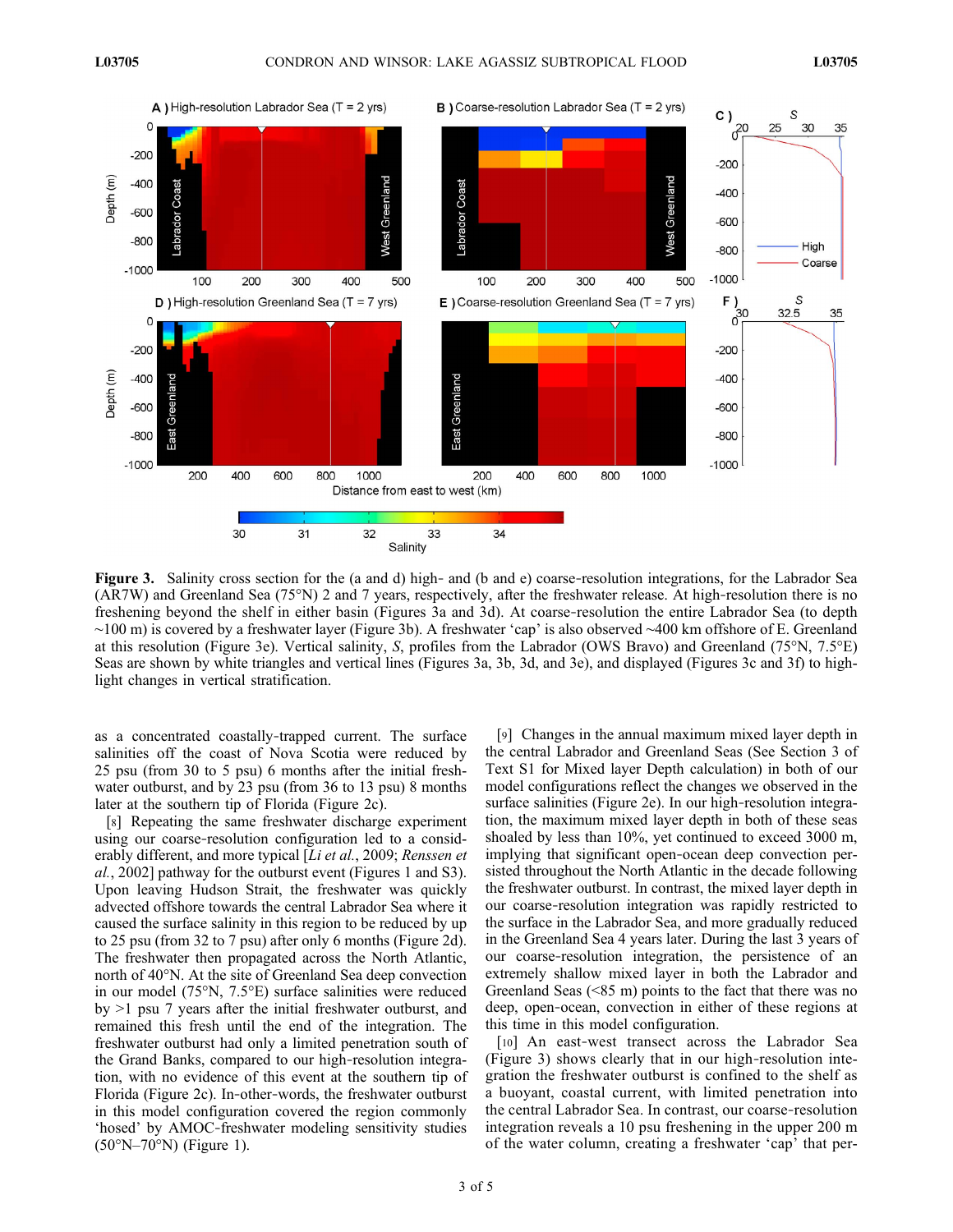

Figure 3. Salinity cross section for the (a and d) high- and (b and e) coarse-resolution integrations, for the Labrador Sea (AR7W) and Greenland Sea (75°N) 2 and 7 years, respectively, after the freshwater release. At high‐resolution there is no freshening beyond the shelf in either basin (Figures 3a and 3d). At coarse‐resolution the entire Labrador Sea (to depth ∼100 m) is covered by a freshwater layer (Figure 3b). A freshwater 'cap' is also observed ∼400 km offshore of E. Greenland at this resolution (Figure 3e). Vertical salinity, S, profiles from the Labrador (OWS Bravo) and Greenland (75°N, 7.5°E) Seas are shown by white triangles and vertical lines (Figures 3a, 3b, 3d, and 3e), and displayed (Figures 3c and 3f) to highlight changes in vertical stratification.

as a concentrated coastally‐trapped current. The surface salinities off the coast of Nova Scotia were reduced by 25 psu (from 30 to 5 psu) 6 months after the initial freshwater outburst, and by 23 psu (from 36 to 13 psu) 8 months later at the southern tip of Florida (Figure 2c).

[8] Repeating the same freshwater discharge experiment using our coarse‐resolution configuration led to a considerably different, and more typical [Li et al., 2009; Renssen et al., 2002] pathway for the outburst event (Figures 1 and S3). Upon leaving Hudson Strait, the freshwater was quickly advected offshore towards the central Labrador Sea where it caused the surface salinity in this region to be reduced by up to 25 psu (from 32 to 7 psu) after only 6 months (Figure 2d). The freshwater then propagated across the North Atlantic, north of 40°N. At the site of Greenland Sea deep convection in our model (75°N, 7.5°E) surface salinities were reduced by >1 psu 7 years after the initial freshwater outburst, and remained this fresh until the end of the integration. The freshwater outburst had only a limited penetration south of the Grand Banks, compared to our high‐resolution integration, with no evidence of this event at the southern tip of Florida (Figure 2c). In‐other‐words, the freshwater outburst in this model configuration covered the region commonly 'hosed' by AMOC‐freshwater modeling sensitivity studies (50°N–70°N) (Figure 1).

[9] Changes in the annual maximum mixed layer depth in the central Labrador and Greenland Seas (See Section 3 of Text S1 for Mixed layer Depth calculation) in both of our model configurations reflect the changes we observed in the surface salinities (Figure 2e). In our high-resolution integration, the maximum mixed layer depth in both of these seas shoaled by less than 10%, yet continued to exceed 3000 m, implying that significant open‐ocean deep convection persisted throughout the North Atlantic in the decade following the freshwater outburst. In contrast, the mixed layer depth in our coarse‐resolution integration was rapidly restricted to the surface in the Labrador Sea, and more gradually reduced in the Greenland Sea 4 years later. During the last 3 years of our coarse‐resolution integration, the persistence of an extremely shallow mixed layer in both the Labrador and Greenland Seas (<85 m) points to the fact that there was no deep, open‐ocean, convection in either of these regions at this time in this model configuration.

[10] An east-west transect across the Labrador Sea (Figure 3) shows clearly that in our high‐resolution integration the freshwater outburst is confined to the shelf as a buoyant, coastal current, with limited penetration into the central Labrador Sea. In contrast, our coarse‐resolution integration reveals a 10 psu freshening in the upper 200 m of the water column, creating a freshwater 'cap' that per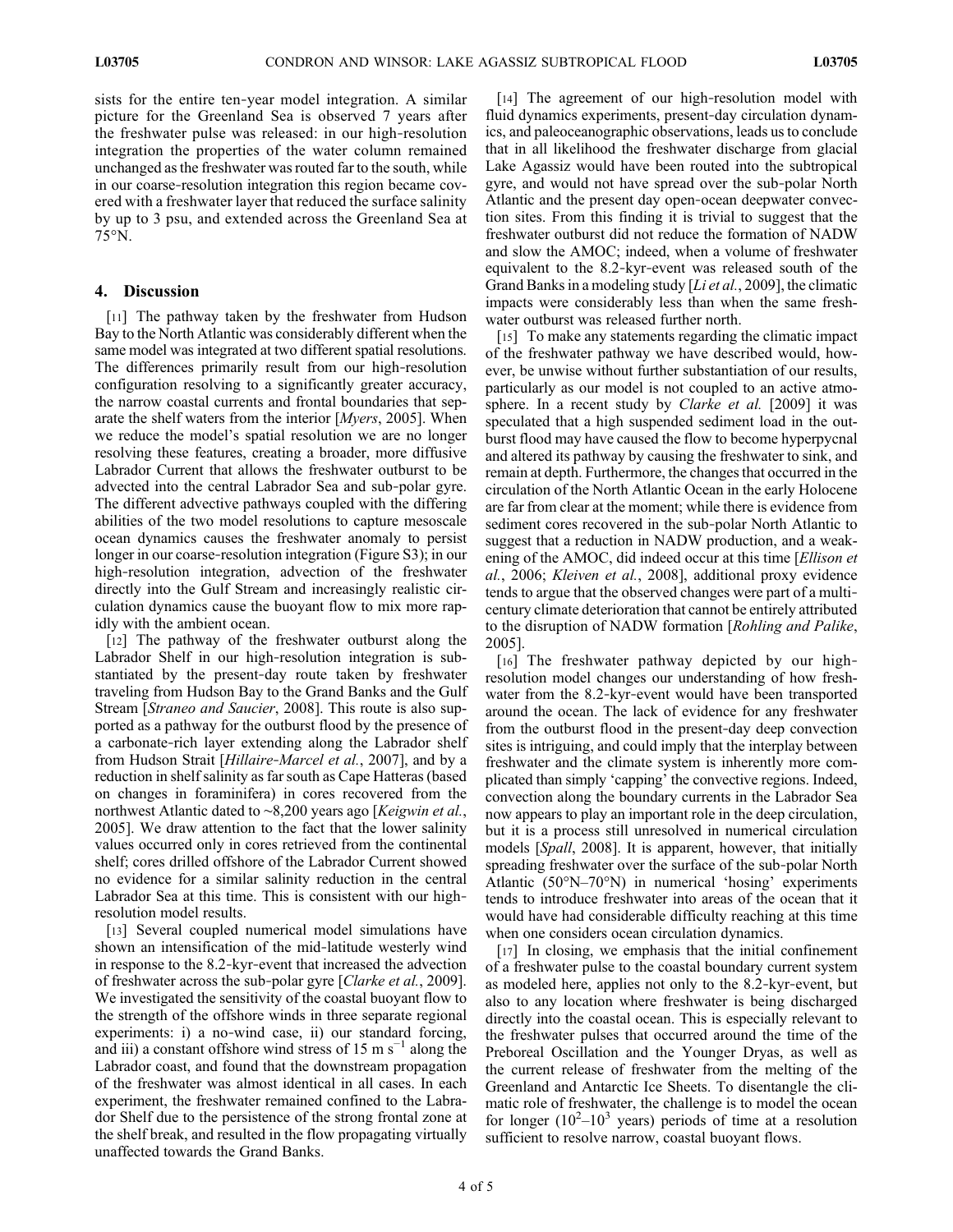sists for the entire ten‐year model integration. A similar picture for the Greenland Sea is observed 7 years after the freshwater pulse was released: in our high‐resolution integration the properties of the water column remained unchanged as the freshwater was routed far to the south, while in our coarse-resolution integration this region became covered with a freshwater layer that reduced the surface salinity by up to 3 psu, and extended across the Greenland Sea at 75°N.

## 4. Discussion

[11] The pathway taken by the freshwater from Hudson Bay to the North Atlantic was considerably different when the same model was integrated at two different spatial resolutions. The differences primarily result from our high-resolution configuration resolving to a significantly greater accuracy, the narrow coastal currents and frontal boundaries that separate the shelf waters from the interior [*Myers*, 2005]. When we reduce the model's spatial resolution we are no longer resolving these features, creating a broader, more diffusive Labrador Current that allows the freshwater outburst to be advected into the central Labrador Sea and sub‐polar gyre. The different advective pathways coupled with the differing abilities of the two model resolutions to capture mesoscale ocean dynamics causes the freshwater anomaly to persist longer in our coarse‐resolution integration (Figure S3); in our high-resolution integration, advection of the freshwater directly into the Gulf Stream and increasingly realistic circulation dynamics cause the buoyant flow to mix more rapidly with the ambient ocean.

[12] The pathway of the freshwater outburst along the Labrador Shelf in our high-resolution integration is substantiated by the present‐day route taken by freshwater traveling from Hudson Bay to the Grand Banks and the Gulf Stream [Straneo and Saucier, 2008]. This route is also supported as a pathway for the outburst flood by the presence of a carbonate‐rich layer extending along the Labrador shelf from Hudson Strait [Hillaire-Marcel et al., 2007], and by a reduction in shelf salinity as far south as Cape Hatteras (based on changes in foraminifera) in cores recovered from the northwest Atlantic dated to ∼8,200 years ago [Keigwin et al., 2005]. We draw attention to the fact that the lower salinity values occurred only in cores retrieved from the continental shelf; cores drilled offshore of the Labrador Current showed no evidence for a similar salinity reduction in the central Labrador Sea at this time. This is consistent with our highresolution model results.

[13] Several coupled numerical model simulations have shown an intensification of the mid‐latitude westerly wind in response to the 8.2‐kyr‐event that increased the advection of freshwater across the sub-polar gyre [Clarke et al., 2009]. We investigated the sensitivity of the coastal buoyant flow to the strength of the offshore winds in three separate regional experiments: i) a no-wind case, ii) our standard forcing, and iii) a constant offshore wind stress of 15 m  $s^{-1}$  along the Labrador coast, and found that the downstream propagation of the freshwater was almost identical in all cases. In each experiment, the freshwater remained confined to the Labrador Shelf due to the persistence of the strong frontal zone at the shelf break, and resulted in the flow propagating virtually unaffected towards the Grand Banks.

[14] The agreement of our high-resolution model with fluid dynamics experiments, present‐day circulation dynamics, and paleoceanographic observations, leads us to conclude that in all likelihood the freshwater discharge from glacial Lake Agassiz would have been routed into the subtropical gyre, and would not have spread over the sub‐polar North Atlantic and the present day open‐ocean deepwater convection sites. From this finding it is trivial to suggest that the freshwater outburst did not reduce the formation of NADW and slow the AMOC; indeed, when a volume of freshwater equivalent to the 8.2‐kyr‐event was released south of the Grand Banks in a modeling study [Li et al., 2009], the climatic impacts were considerably less than when the same freshwater outburst was released further north.

[15] To make any statements regarding the climatic impact of the freshwater pathway we have described would, however, be unwise without further substantiation of our results, particularly as our model is not coupled to an active atmosphere. In a recent study by Clarke et al. [2009] it was speculated that a high suspended sediment load in the outburst flood may have caused the flow to become hyperpycnal and altered its pathway by causing the freshwater to sink, and remain at depth. Furthermore, the changes that occurred in the circulation of the North Atlantic Ocean in the early Holocene are far from clear at the moment; while there is evidence from sediment cores recovered in the sub-polar North Atlantic to suggest that a reduction in NADW production, and a weakening of the AMOC, did indeed occur at this time [*Ellison et*] al., 2006; Kleiven et al., 2008], additional proxy evidence tends to argue that the observed changes were part of a multi‐ century climate deterioration that cannot be entirely attributed to the disruption of NADW formation [Rohling and Palike, 2005].

[16] The freshwater pathway depicted by our highresolution model changes our understanding of how freshwater from the 8.2-kyr-event would have been transported around the ocean. The lack of evidence for any freshwater from the outburst flood in the present‐day deep convection sites is intriguing, and could imply that the interplay between freshwater and the climate system is inherently more complicated than simply 'capping' the convective regions. Indeed, convection along the boundary currents in the Labrador Sea now appears to play an important role in the deep circulation, but it is a process still unresolved in numerical circulation models [*Spall*, 2008]. It is apparent, however, that initially spreading freshwater over the surface of the sub-polar North Atlantic (50°N–70°N) in numerical 'hosing' experiments tends to introduce freshwater into areas of the ocean that it would have had considerable difficulty reaching at this time when one considers ocean circulation dynamics.

[17] In closing, we emphasis that the initial confinement of a freshwater pulse to the coastal boundary current system as modeled here, applies not only to the 8.2‐kyr‐event, but also to any location where freshwater is being discharged directly into the coastal ocean. This is especially relevant to the freshwater pulses that occurred around the time of the Preboreal Oscillation and the Younger Dryas, as well as the current release of freshwater from the melting of the Greenland and Antarctic Ice Sheets. To disentangle the climatic role of freshwater, the challenge is to model the ocean for longer  $(10^2 - 10^3$  years) periods of time at a resolution sufficient to resolve narrow, coastal buoyant flows.